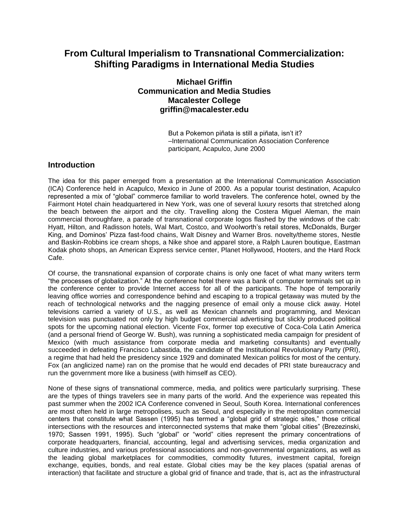# **From Cultural Imperialism to Transnational Commercialization: Shifting Paradigms in International Media Studies**

# **Michael Griffin Communication and Media Studies Macalester College griffin@macalester.edu**

But a Pokemon piñata is still a piñata, isn't it? –International Communication Association Conference participant, Acapulco, June 2000

# **Introduction**

The idea for this paper emerged from a presentation at the International Communication Association (ICA) Conference held in Acapulco, Mexico in June of 2000. As a popular tourist destination, Acapulco represented a mix of "global" commerce familiar to world travelers. The conference hotel, owned by the Fairmont Hotel chain headquartered in New York, was one of several luxury resorts that stretched along the beach between the airport and the city. Travelling along the Costera Miguel Aleman, the main commercial thoroughfare, a parade of transnational corporate logos flashed by the windows of the cab: Hyatt, Hilton, and Radisson hotels, Wal Mart, Costco, and Woolworth's retail stores, McDonalds, Burger King, and Dominos' Pizza fast-food chains, Walt Disney and Warner Bros. novelty/theme stores, Nestle and Baskin-Robbins ice cream shops, a Nike shoe and apparel store, a Ralph Lauren boutique, Eastman Kodak photo shops, an American Express service center, Planet Hollywood, Hooters, and the Hard Rock Cafe.

Of course, the transnational expansion of corporate chains is only one facet of what many writers term "the processes of globalization." At the conference hotel there was a bank of computer terminals set up in the conference center to provide Internet access for all of the participants. The hope of temporarily leaving office worries and correspondence behind and escaping to a tropical getaway was muted by the reach of technological networks and the nagging presence of email only a mouse click away. Hotel televisions carried a variety of U.S., as well as Mexican channels and programming, and Mexican television was punctuated not only by high budget commercial advertising but slickly produced political spots for the upcoming national election. Vicente Fox, former top executive of Coca-Cola Latin America (and a personal friend of George W. Bush), was running a sophisticated media campaign for president of Mexico (with much assistance from corporate media and marketing consultants) and eventually succeeded in defeating Francisco Labastida, the candidate of the Institutional Revolutionary Party (PRI), a regime that had held the presidency since 1929 and dominated Mexican politics for most of the century. Fox (an anglicized name) ran on the promise that he would end decades of PRI state bureaucracy and run the government more like a business (with himself as CEO).

None of these signs of transnational commerce, media, and politics were particularly surprising. These are the types of things travelers see in many parts of the world. And the experience was repeated this past summer when the 2002 ICA Conference convened in Seoul, South Korea. International conferences are most often held in large metropolises, such as Seoul, and especially in the metropolitan commercial centers that constitute what Sassen (1995) has termed a "global grid of strategic sites," those critical intersections with the resources and interconnected systems that make them "global cities" (Brezezinski, 1970; Sassen 1991, 1995). Such "global" or "world" cities represent the primary concentrations of corporate headquarters, financial, accounting, legal and advertising services, media organization and culture industries, and various professional associations and non-governmental organizations, as well as the leading global marketplaces for commodities, commodity futures, investment capital, foreign exchange, equities, bonds, and real estate. Global cities may be the key places (spatial arenas of interaction) that facilitate and structure a global grid of finance and trade, that is, act as the infrastructural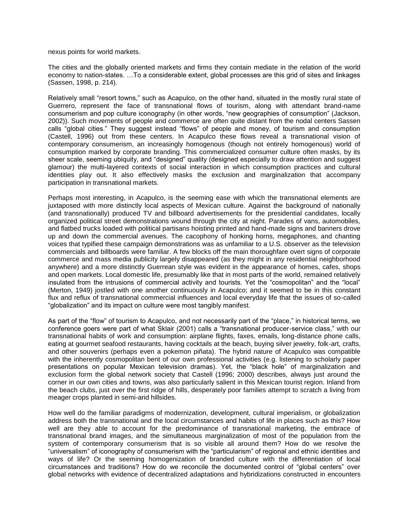nexus points for world markets.

The cities and the globally oriented markets and firms they contain mediate in the relation of the world economy to nation-states. …To a considerable extent, global processes are this grid of sites and linkages (Sassen, 1998, p. 214).

Relatively small "resort towns," such as Acapulco, on the other hand, situated in the mostly rural state of Guerrero, represent the face of transnational flows of tourism, along with attendant brand-name consumerism and pop culture iconography (in other words, "new geographies of consumption" (Jackson, 2002)). Such movements of people and commerce are often quite distant from the nodal centers Sassen calls "global cities." They suggest instead "flows" of people and money, of tourism and consumption (Castell, 1996) out from these centers. In Acapulco these flows reveal a transnational vision of contemporary consumerism, an increasingly homogenous (though not entirely homogenous) world of consumption marked by corporate branding. This commercialized consumer culture often masks, by its sheer scale, seeming ubiquity, and "designed" quality (designed especially to draw attention and suggest glamour) the multi-layered contexts of social interaction in which consumption practices and cultural identities play out. It also effectively masks the exclusion and marginalization that accompany participation in transnational markets.

Perhaps most interesting, in Acapulco, is the seeming ease with which the transnational elements are juxtaposed with more distinctly local aspects of Mexican culture. Against the background of nationally (and transnationally) produced TV and billboard advertisements for the presidential candidates, locally organized political street demonstrations wound through the city at night. Parades of vans, automobiles, and flatbed trucks loaded with political partisans hoisting printed and hand-made signs and banners drove up and down the commercial avenues. The cacophony of honking horns, megaphones, and chanting voices that typified these campaign demonstrations was as unfamiliar to a U.S. observer as the television commercials and billboards were familiar. A few blocks off the main thoroughfare overt signs of corporate commerce and mass media publicity largely disappeared (as they might in any residential neighborhood anywhere) and a more distinctly Guerrean style was evident in the appearance of homes, cafes, shops and open markets. Local domestic life, presumably like that in most parts of the world, remained relatively insulated from the intrusions of commercial activity and tourists. Yet the "cosmopolitan" and the "local" (Merton, 1949) jostled with one another continuously in Acapulco; and it seemed to be in this constant flux and reflux of transnational commercial influences and local everyday life that the issues of so-called "globalization" and its impact on culture were most tangibly manifest.

As part of the "flow" of tourism to Acapulco, and not necessarily part of the "place," in historical terms, we conference goers were part of what Sklair (2001) calls a "transnational producer-service class," with our transnational habits of work and consumption: airplane flights, faxes, emails, long-distance phone calls, eating at gourmet seafood restaurants, having cocktails at the beach, buying silver jewelry, folk-art, crafts, and other souvenirs (perhaps even a pokemon piñata). The hybrid nature of Acapulco was compatible with the inherently cosmopolitan bent of our own professional activities (e.g. listening to scholarly paper presentations on popular Mexican television dramas). Yet, the "black hole" of marginalization and exclusion form the global network society that Castell (1996; 2000) describes, always just around the corner in our own cities and towns, was also particularly salient in this Mexican tourist region. Inland from the beach clubs, just over the first ridge of hills, desperately poor families attempt to scratch a living from meager crops planted in semi-arid hillsides.

How well do the familiar paradigms of modernization, development, cultural imperialism, or globalization address both the transnational and the local circumstances and habits of life in places such as this? How well are they able to account for the predominance of transnational marketing, the embrace of transnational brand images, and the simultaneous marginalization of most of the population from the system of contemporary consumerism that is so visible all around them? How do we resolve the "universalism" of iconography of consumerism with the "particularism" of regional and ethnic identities and ways of life? Or the seeming homogenization of branded culture with the differentiation of local circumstances and traditions? How do we reconcile the documented control of "global centers" over global networks with evidence of decentralized adaptations and hybridizations constructed in encounters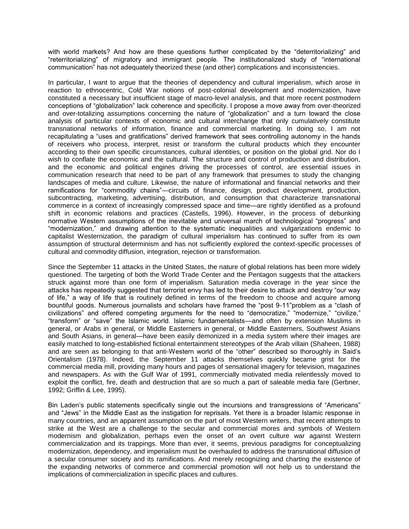with world markets? And how are these questions further complicated by the "deterritorializing" and "reterritorializing" of migratory and immigrant people. The institutionalized study of "international communication" has not adequately theorized these (and other) complications and inconsistencies.

In particular, I want to argue that the theories of dependency and cultural imperialism, which arose in reaction to ethnocentric, Cold War notions of post-colonial development and modernization, have constituted a necessary but insufficient stage of macro-level analysis, and that more recent postmodern conceptions of "globalization" lack coherence and specificity. I propose a move away from over-theorized and over-totalizing assumptions concerning the nature of "globalization" and a turn toward the close analysis of particular contexts of economic and cultural interchange that only cumulatively constitute transnational networks of information, finance and commercial marketing. In doing so, I am not recapitulating a "uses and gratifications" derived framework that sees controlling autonomy in the hands of receivers who process, interpret, resist or transform the cultural products which they encounter according to their own specific circumstances, cultural identities, or position on the global grid. Nor do I wish to conflate the economic and the cultural. The structure and control of production and distribution, and the economic and political engines driving the processes of control, are essential issues in communication research that need to be part of any framework that presumes to study the changing landscapes of media and culture. Likewise, the nature of informational and financial networks and their ramifications for "commodity chains"—circuits of finance, design, product development, production, subcontracting, marketing, advertising, distribution, and consumption that characterize transnational commerce in a context of increasingly compressed space and time—are rightly identified as a profound shift in economic relations and practices (Castells, 1996). However, in the process of debunking normative Western assumptions of the inevitable and universal march of technological "progress" and "modernization," and drawing attention to the systematic inequalities and vulgarizations endemic to capitalist Westernization, the paradigm of cultural imperialism has continued to suffer from its own assumption of structural determinism and has not sufficiently explored the context-specific processes of cultural and commodity diffusion, integration, rejection or transformation.

Since the September 11 attacks in the United States, the nature of global relations has been more widely questioned. The targeting of both the World Trade Center and the Pentagon suggests that the attackers struck against more than one form of imperialism. Saturation media coverage in the year since the attacks has repeatedly suggested that terrorist envy has led to their desire to attack and destroy "our way of life," a way of life that is routinely defined in terms of the freedom to choose and acquire among bountiful goods. Numerous journalists and scholars have framed the "post 9-11"problem as a "clash of civilizations" and offered competing arguments for the need to "democratize," "modernize," "civilize," "transform" or "save" the Islamic world. Islamic fundamentalists—and often by extension Muslims in general, or Arabs in general, or Middle Easterners in general, or Middle Easterners, Southwest Asians and South Asians, in general—have been easily demonized in a media system where their images are easily matched to long-established fictional entertainment stereotypes of the Arab villain (Shaheen, 1988) and are seen as belonging to that anti-Western world of the "other" described so thoroughly in Said's Orientalism (1978). Indeed, the September 11 attacks themselves quickly became grist for the commercial media mill, providing many hours and pages of sensational imagery for television, magazines and newspapers. As with the Gulf War of 1991, commercially motivated media relentlessly moved to exploit the conflict, fire, death and destruction that are so much a part of saleable media fare (Gerbner, 1992; Griffin & Lee, 1995).

Bin Laden's public statements specifically single out the incursions and transgressions of "Americans" and "Jews" in the Middle East as the instigation for reprisals. Yet there is a broader Islamic response in many countries, and an apparent assumption on the part of most Western writers, that recent attempts to strike at the West are a challenge to the secular and commercial mores and symbols of Western modernism and globalization, perhaps even the onset of an overt culture war against Western commercialization and its trappings. More than ever, it seems, previous paradigms for conceptualizing modernization, dependency, and imperialism must be overhauled to address the transnational diffusion of a secular consumer society and its ramifications. And merely recognizing and charting the existence of the expanding networks of commerce and commercial promotion will not help us to understand the implications of commercialization in specific places and cultures.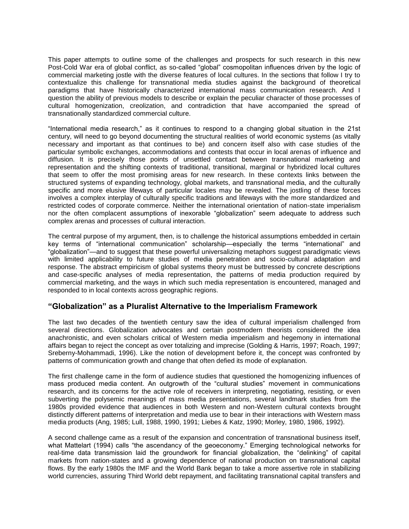This paper attempts to outline some of the challenges and prospects for such research in this new Post-Cold War era of global conflict, as so-called "global" cosmopolitan influences driven by the logic of commercial marketing jostle with the diverse features of local cultures. In the sections that follow I try to contextualize this challenge for transnational media studies against the background of theoretical paradigms that have historically characterized international mass communication research. And I question the ability of previous models to describe or explain the peculiar character of those processes of cultural homogenization, creolization, and contradiction that have accompanied the spread of transnationally standardized commercial culture.

"International media research," as it continues to respond to a changing global situation in the 21st century, will need to go beyond documenting the structural realities of world economic systems (as vitally necessary and important as that continues to be) and concern itself also with case studies of the particular symbolic exchanges, accommodations and contests that occur in local arenas of influence and diffusion. It is precisely those points of unsettled contact between transnational marketing and representation and the shifting contexts of traditional, transitional, marginal or hybridized local cultures that seem to offer the most promising areas for new research. In these contexts links between the structured systems of expanding technology, global markets, and transnational media, and the culturally specific and more elusive lifeways of particular locales may be revealed. The jostling of these forces involves a complex interplay of culturally specific traditions and lifeways with the more standardized and restricted codes of corporate commerce. Neither the international orientation of nation-state imperialism nor the often complacent assumptions of inexorable "globalization" seem adequate to address such complex arenas and processes of cultural interaction.

The central purpose of my argument, then, is to challenge the historical assumptions embedded in certain key terms of "international communication" scholarship—especially the terms "international" and "globalization"—and to suggest that these powerful universalizing metaphors suggest paradigmatic views with limited applicability to future studies of media penetration and socio-cultural adaptation and response. The abstract empiricism of global systems theory must be buttressed by concrete descriptions and case-specific analyses of media representation, the patterns of media production required by commercial marketing, and the ways in which such media representation is encountered, managed and responded to in local contexts across geographic regions.

# **"Globalization" as a Pluralist Alternative to the Imperialism Framework**

The last two decades of the twentieth century saw the idea of cultural imperialism challenged from several directions. Globalization advocates and certain postmodern theorists considered the idea anachronistic, and even scholars critical of Western media imperialism and hegemony in international affairs began to reject the concept as over totalizing and imprecise (Golding & Harris, 1997; Roach, 1997; Sreberny-Mohammadi, 1996). Like the notion of development before it, the concept was confronted by patterns of communication growth and change that often defied its mode of explanation.

The first challenge came in the form of audience studies that questioned the homogenizing influences of mass produced media content. An outgrowth of the "cultural studies" movement in communications research, and its concerns for the active role of receivers in interpreting, negotiating, resisting, or even subverting the polysemic meanings of mass media presentations, several landmark studies from the 1980s provided evidence that audiences in both Western and non-Western cultural contexts brought distinctly different patterns of interpretation and media use to bear in their interactions with Western mass media products (Ang, 1985; Lull, 1988, 1990, 1991; Liebes & Katz, 1990; Morley, 1980, 1986, 1992).

A second challenge came as a result of the expansion and concentration of transnational business itself, what Mattelart (1994) calls "the ascendancy of the geoeconomy." Emerging technological networks for real-time data transmission laid the groundwork for financial globalization, the "delinking" of capital markets from nation-states and a growing dependence of national production on transnational capital flows. By the early 1980s the IMF and the World Bank began to take a more assertive role in stabilizing world currencies, assuring Third World debt repayment, and facilitating transnational capital transfers and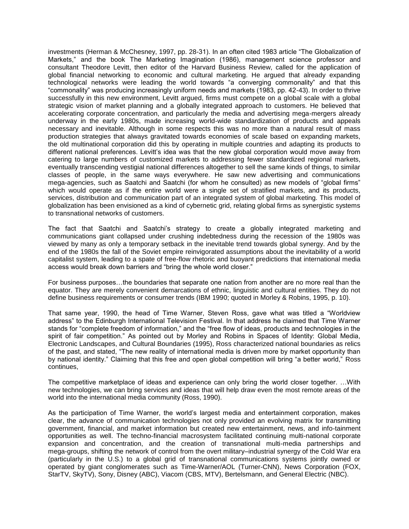investments (Herman & McChesney, 1997, pp. 28-31). In an often cited 1983 article "The Globalization of Markets," and the book The Marketing Imagination (1986), management science professor and consultant Theodore Levitt, then editor of the Harvard Business Review, called for the application of global financial networking to economic and cultural marketing. He argued that already expanding technological networks were leading the world towards "a converging commonality" and that this "commonality" was producing increasingly uniform needs and markets (1983, pp. 42-43). In order to thrive successfully in this new environment, Levitt argued, firms must compete on a global scale with a global strategic vision of market planning and a globally integrated approach to customers. He believed that accelerating corporate concentration, and particularly the media and advertising mega-mergers already underway in the early 1980s, made increasing world-wide standardization of products and appeals necessary and inevitable. Although in some respects this was no more than a natural result of mass production strategies that always gravitated towards economies of scale based on expanding markets, the old multinational corporation did this by operating in multiple countries and adapting its products to different national preferences. Levitt's idea was that the new global corporation would move away from catering to large numbers of customized markets to addressing fewer standardized regional markets, eventually transcending vestigial national differences altogether to sell the same kinds of things, to similar classes of people, in the same ways everywhere. He saw new advertising and communications mega-agencies, such as Saatchi and Saatchi (for whom he consulted) as new models of "global firms" which would operate as if the entire world were a single set of stratified markets, and its products, services, distribution and communication part of an integrated system of global marketing. This model of globalization has been envisioned as a kind of cybernetic grid, relating global firms as synergistic systems to transnational networks of customers.

The fact that Saatchi and Saatchi's strategy to create a globally integrated marketing and communications giant collapsed under crushing indebtedness during the recession of the 1980s was viewed by many as only a temporary setback in the inevitable trend towards global synergy. And by the end of the 1980s the fall of the Soviet empire reinvigorated assumptions about the inevitability of a world capitalist system, leading to a spate of free-flow rhetoric and buoyant predictions that international media access would break down barriers and "bring the whole world closer."

For business purposes…the boundaries that separate one nation from another are no more real than the equator. They are merely convenient demarcations of ethnic, linguistic and cultural entities. They do not define business requirements or consumer trends (IBM 1990; quoted in Morley & Robins, 1995, p. 10).

That same year, 1990, the head of Time Warner, Steven Ross, gave what was titled a "Worldview address" to the Edinburgh International Television Festival. In that address he claimed that Time Warner stands for "complete freedom of information," and the "free flow of ideas, products and technologies in the spirit of fair competition." As pointed out by Morley and Robins in Spaces of Identity: Global Media, Electronic Landscapes, and Cultural Boundaries (1995), Ross characterized national boundaries as relics of the past, and stated, "The new reality of international media is driven more by market opportunity than by national identity." Claiming that this free and open global competition will bring "a better world," Ross continues,

The competitive marketplace of ideas and experience can only bring the world closer together. …With new technologies, we can bring services and ideas that will help draw even the most remote areas of the world into the international media community (Ross, 1990).

As the participation of Time Warner, the world's largest media and entertainment corporation, makes clear, the advance of communication technologies not only provided an evolving matrix for transmitting government, financial, and market information but created new entertainment, news, and info-tainment opportunities as well. The techno-financial macrosystem facilitated continuing multi-national corporate expansion and concentration, and the creation of transnational multi-media partnerships and mega-groups, shifting the network of control from the overt military–industrial synergy of the Cold War era (particularly in the U.S.) to a global grid of transnational communications systems jointly owned or operated by giant conglomerates such as Time-Warner/AOL (Turner-CNN), News Corporation (FOX, StarTV, SkyTV), Sony, Disney (ABC), Viacom (CBS, MTV), Bertelsmann, and General Electric (NBC).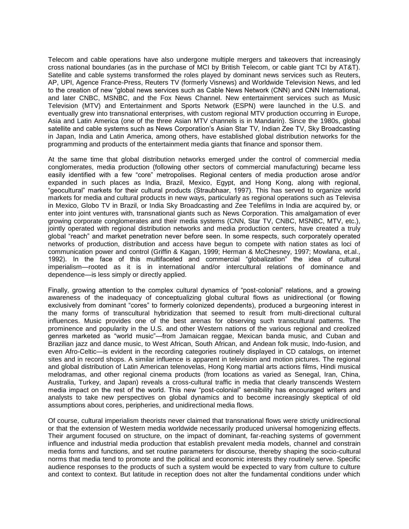Telecom and cable operations have also undergone multiple mergers and takeovers that increasingly cross national boundaries (as in the purchase of MCI by British Telecom, or cable giant TCI by AT&T). Satellite and cable systems transformed the roles played by dominant news services such as Reuters, AP, UPI, Agence France-Press, Reuters TV (formerly Visnews) and Worldwide Television News, and led to the creation of new "global news services such as Cable News Network (CNN) and CNN International, and later CNBC, MSNBC, and the Fox News Channel. New entertainment services such as Music Television (MTV) and Entertainment and Sports Network (ESPN) were launched in the U.S. and eventually grew into transnational enterprises, with custom regional MTV production occurring in Europe, Asia and Latin America (one of the three Asian MTV channels is in Mandarin). Since the 1980s, global satellite and cable systems such as News Corporation's Asian Star TV, Indian Zee TV, Sky Broadcasting in Japan, India and Latin America, among others, have established global distribution networks for the programming and products of the entertainment media giants that finance and sponsor them.

At the same time that global distribution networks emerged under the control of commercial media conglomerates, media production (following other sectors of commercial manufacturing) became less easily identified with a few "core" metropolises. Regional centers of media production arose and/or expanded in such places as India, Brazil, Mexico, Egypt, and Hong Kong, along with regional, "geocultural" markets for their cultural products (Straubhaar, 1997). This has served to organize world markets for media and cultural products in new ways, particularly as regional operations such as Televisa in Mexico, Globo TV in Brazil, or India Sky Broadcasting and Zee Telefilms in India are acquired by, or enter into joint ventures with, transnational giants such as News Corporation. This amalgamation of ever growing corporate conglomerates and their media systems (CNN, Star TV, CNBC, MSNBC, MTV, etc.), jointly operated with regional distribution networks and media production centers, have created a truly global "reach" and market penetration never before seen. In some respects, such corporately operated networks of production, distribution and access have begun to compete with nation states as loci of communication power and control (Griffin & Kagan, 1999; Herman & McChesney, 1997; Mowlana, et.al., 1992). In the face of this multifaceted and commercial "globalization" the idea of cultural imperialism—rooted as it is in international and/or intercultural relations of dominance and dependence—is less simply or directly applied.

Finally, growing attention to the complex cultural dynamics of "post-colonial" relations, and a growing awareness of the inadequacy of conceptualizing global cultural flows as unidirectional (or flowing exclusively from dominant "cores" to formerly colonized dependents), produced a burgeoning interest in the many forms of transcultural hybridization that seemed to result from multi-directional cultural influences. Music provides one of the best arenas for observing such transcultural patterns. The prominence and popularity in the U.S. and other Western nations of the various regional and creolized genres marketed as "world music"—from Jamaican reggae, Mexican banda music, and Cuban and Brazilian jazz and dance music, to West African, South African, and Andean folk music, Indo-fusion, and even Afro-Celtic—is evident in the recording categories routinely displayed in CD catalogs, on internet sites and in record shops. A similar influence is apparent in television and motion pictures. The regional and global distribution of Latin American telenovelas, Hong Kong martial arts actions films, Hindi musical melodramas, and other regional cinema products (from locations as varied as Senegal, Iran, China, Australia, Turkey, and Japan) reveals a cross-cultural traffic in media that clearly transcends Western media impact on the rest of the world. This new "post-colonial" sensibility has encouraged writers and analysts to take new perspectives on global dynamics and to become increasingly skeptical of old assumptions about cores, peripheries, and unidirectional media flows.

Of course, cultural imperialism theorists never claimed that transnational flows were strictly unidirectional or that the extension of Western media worldwide necessarily produced universal homogenizing effects. Their argument focused on structure, on the impact of dominant, far-reaching systems of government influence and industrial media production that establish prevalent media models, channel and constrain media forms and functions, and set routine parameters for discourse, thereby shaping the socio-cultural norms that media tend to promote and the political and economic interests they routinely serve. Specific audience responses to the products of such a system would be expected to vary from culture to culture and context to context. But latitude in reception does not alter the fundamental conditions under which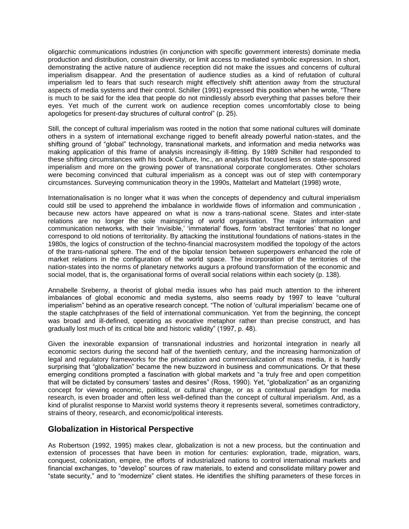oligarchic communications industries (in conjunction with specific government interests) dominate media production and distribution, constrain diversity, or limit access to mediated symbolic expression. In short, demonstrating the active nature of audience reception did not make the issues and concerns of cultural imperialism disappear. And the presentation of audience studies as a kind of refutation of cultural imperialism led to fears that such research might effectively shift attention away from the structural aspects of media systems and their control. Schiller (1991) expressed this position when he wrote, "There is much to be said for the idea that people do not mindlessly absorb everything that passes before their eyes. Yet much of the current work on audience reception comes uncomfortably close to being apologetics for present-day structures of cultural control" (p. 25).

Still, the concept of cultural imperialism was rooted in the notion that some national cultures will dominate others in a system of international exchange rigged to benefit already powerful nation-states, and the shifting ground of "global" technology, transnational markets, and information and media networks was making application of this frame of analysis increasingly ill-fitting. By 1989 Schiller had responded to these shifting circumstances with his book Culture, Inc., an analysis that focused less on state-sponsored imperialism and more on the growing power of transnational corporate conglomerates. Other scholars were becoming convinced that cultural imperialism as a concept was out of step with contemporary circumstances. Surveying communication theory in the 1990s, Mattelart and Mattelart (1998) wrote,

Internationalisation is no longer what it was when the concepts of dependency and cultural imperialism could still be used to apprehend the imbalance in worldwide flows of information and communication , because new actors have appeared on what is now a trans-national scene. States and inter-state relations are no longer the sole mainspring of world organisation. The major information and communication networks, with their 'invisible,' 'immaterial' flows, form 'abstract territories' that no longer correspond to old notions of territoriality. By attacking the institutional foundations of nations-states in the 1980s, the logics of construction of the techno-financial macrosystem modified the topology of the actors of the trans-national sphere. The end of the bipolar tension between superpowers enhanced the role of market relations in the configuration of the world space. The incorporation of the territories of the nation-states into the norms of planetary networks augurs a profound transformation of the economic and social model, that is, the organisational forms of overall social relations within each society (p. 138).

Annabelle Sreberny, a theorist of global media issues who has paid much attention to the inherent imbalances of global economic and media systems, also seems ready by 1997 to leave "cultural imperialism" behind as an operative research concept. "The notion of 'cultural imperialism' became one of the staple catchphrases of the field of international communication. Yet from the beginning, the concept was broad and ill-defined, operating as evocative metaphor rather than precise construct, and has gradually lost much of its critical bite and historic validity" (1997, p. 48).

Given the inexorable expansion of transnational industries and horizontal integration in nearly all economic sectors during the second half of the twentieth century, and the increasing harmonization of legal and regulatory frameworks for the privatization and commercialization of mass media, it is hardly surprising that "globalization" became the new buzzword in business and communications. Or that these emerging conditions prompted a fascination with global markets and "a truly free and open competition that will be dictated by consumers' tastes and desires" (Ross, 1990). Yet, "globalization" as an organizing concept for viewing economic, political, or cultural change, or as a contextual paradigm for media research, is even broader and often less well-defined than the concept of cultural imperialism. And, as a kind of pluralist response to Marxist world systems theory it represents several, sometimes contradictory, strains of theory, research, and economic/political interests.

# **Globalization in Historical Perspective**

As Robertson (1992, 1995) makes clear, globalization is not a new process, but the continuation and extension of processes that have been in motion for centuries: exploration, trade, migration, wars, conquest, colonization, empire, the efforts of industrialized nations to control international markets and financial exchanges, to "develop" sources of raw materials, to extend and consolidate military power and "state security," and to "modernize" client states. He identifies the shifting parameters of these forces in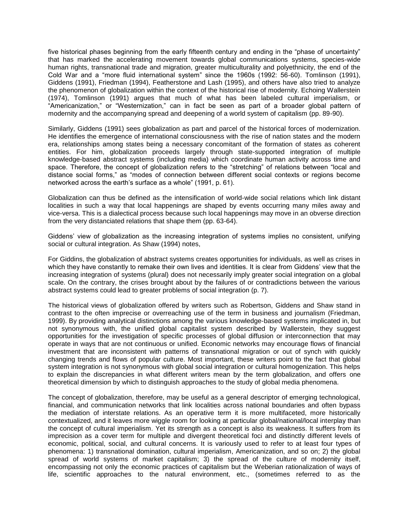five historical phases beginning from the early fifteenth century and ending in the "phase of uncertainty" that has marked the accelerating movement towards global communications systems, species-wide human rights, transnational trade and migration, greater multiculturality and polyethnicity, the end of the Cold War and a "more fluid international system" since the 1960s (1992: 56-60). Tomlinson (1991), Giddens (1991), Friedman (1994), Featherstone and Lash (1995), and others have also tried to analyze the phenomenon of globalization within the context of the historical rise of modernity. Echoing Wallerstein (1974), Tomlinson (1991) argues that much of what has been labeled cultural imperialism, or "Americanization," or "Westernization," can in fact be seen as part of a broader global pattern of modernity and the accompanying spread and deepening of a world system of capitalism (pp. 89-90).

Similarly, Giddens (1991) sees globalization as part and parcel of the historical forces of modernization. He identifies the emergence of international consciousness with the rise of nation states and the modern era, relationships among states being a necessary concomitant of the formation of states as coherent entities. For him, globalization proceeds largely through state-supported integration of multiple knowledge-based abstract systems (including media) which coordinate human activity across time and space. Therefore, the concept of globalization refers to the "stretching" of relations between "local and distance social forms," as "modes of connection between different social contexts or regions become networked across the earth's surface as a whole" (1991, p. 61).

Globalization can thus be defined as the intensification of world-wide social relations which link distant localities in such a way that local happenings are shaped by events occurring many miles away and vice-versa. This is a dialectical process because such local happenings may move in an obverse direction from the very distanciated relations that shape them (pp. 63-64).

Giddens' view of globalization as the increasing integration of systems implies no consistent, unifying social or cultural integration. As Shaw (1994) notes,

For Giddins, the globalization of abstract systems creates opportunities for individuals, as well as crises in which they have constantly to remake their own lives and identities. It is clear from Giddens' view that the increasing integration of systems (plural) does not necessarily imply greater social integration on a global scale. On the contrary, the crises brought about by the failures of or contradictions between the various abstract systems could lead to greater problems of social integration (p. 7).

The historical views of globalization offered by writers such as Robertson, Giddens and Shaw stand in contrast to the often imprecise or overreaching use of the term in business and journalism (Friedman, 1999). By providing analytical distinctions among the various knowledge-based systems implicated in, but not synonymous with, the unified global capitalist system described by Wallerstein, they suggest opportunities for the investigation of specific processes of global diffusion or interconnection that may operate in ways that are not continuous or unified. Economic networks may encourage flows of financial investment that are inconsistent with patterns of transnational migration or out of synch with quickly changing trends and flows of popular culture. Most important, these writers point to the fact that global system integration is not synonymous with global social integration or cultural homogenization. This helps to explain the discrepancies in what different writers mean by the term globalization, and offers one theoretical dimension by which to distinguish approaches to the study of global media phenomena.

The concept of globalization, therefore, may be useful as a general descriptor of emerging technological, financial, and communication networks that link localities across national boundaries and often bypass the mediation of interstate relations. As an operative term it is more multifaceted, more historically contextualized, and it leaves more wiggle room for looking at particular global/national/local interplay than the concept of cultural imperialism. Yet its strength as a concept is also its weakness. It suffers from its imprecision as a cover term for multiple and divergent theoretical foci and distinctly different levels of economic, political, social, and cultural concerns. It is variously used to refer to at least four types of phenomena: 1) transnational domination, cultural imperialism, Americanization, and so on; 2) the global spread of world systems of market capitalism; 3) the spread of the culture of modernity itself, encompassing not only the economic practices of capitalism but the Weberian rationalization of ways of life, scientific approaches to the natural environment, etc., (sometimes referred to as the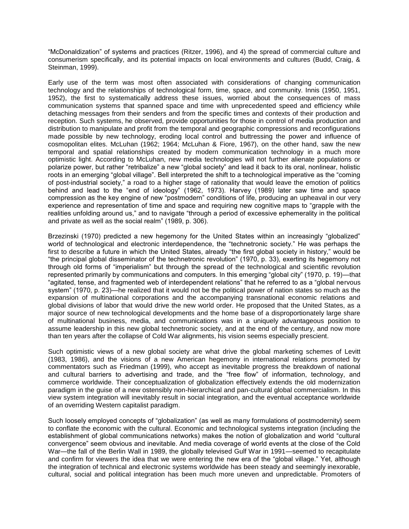"McDonaldization" of systems and practices (Ritzer, 1996), and 4) the spread of commercial culture and consumerism specifically, and its potential impacts on local environments and cultures (Budd, Craig, & Steinman, 1999).

Early use of the term was most often associated with considerations of changing communication technology and the relationships of technological form, time, space, and community. Innis (1950, 1951, 1952), the first to systematically address these issues, worried about the consequences of mass communication systems that spanned space and time with unprecedented speed and efficiency while detaching messages from their senders and from the specific times and contexts of their production and reception. Such systems, he observed, provide opportunities for those in control of media production and distribution to manipulate and profit from the temporal and geographic compressions and reconfigurations made possible by new technology, eroding local control and buttressing the power and influence of cosmopolitan elites. McLuhan (1962; 1964; McLuhan & Fiore, 1967), on the other hand, saw the new temporal and spatial relationships created by modern communication technology in a much more optimistic light. According to McLuhan, new media technologies will not further alienate populations or polarize power, but rather "retribalize" a new "global society" and lead it back to its oral, nonlinear, holistic roots in an emerging "global village". Bell interpreted the shift to a technological imperative as the "coming of post-industrial society," a road to a higher stage of rationality that would leave the emotion of politics behind and lead to the "end of ideology" (1962, 1973). Harvey (1989) later saw time and space compression as the key engine of new "postmodern" conditions of life, producing an upheaval in our very experience and representation of time and space and requiring new cognitive maps to "grapple with the realities unfolding around us," and to navigate "through a period of excessive ephemerality in the political and private as well as the social realm" (1989, p. 306).

Brzezinski (1970) predicted a new hegemony for the United States within an increasingly "globalized" world of technological and electronic interdependence, the "technetronic society." He was perhaps the first to describe a future in which the United States, already "the first global society in history," would be "the principal global disseminator of the technetronic revolution" (1970, p. 33), exerting its hegemony not through old forms of "imperialism" but through the spread of the technological and scientific revolution represented primarily by communications and computers. In this emerging "global city" (1970, p. 19)—that "agitated, tense, and fragmented web of interdependent relations" that he referred to as a "global nervous system" (1970, p. 23)—he realized that it would not be the political power of nation states so much as the expansion of multinational corporations and the accompanying transnational economic relations and global divisions of labor that would drive the new world order. He proposed that the United States, as a major source of new technological developments and the home base of a disproportionately large share of multinational business, media, and communications was in a uniquely advantageous position to assume leadership in this new global technetronic society, and at the end of the century, and now more than ten years after the collapse of Cold War alignments, his vision seems especially prescient.

Such optimistic views of a new global society are what drive the global marketing schemes of Levitt (1983, 1986), and the visions of a new American hegemony in international relations promoted by commentators such as Friedman (1999), who accept as inevitable progress the breakdown of national and cultural barriers to advertising and trade, and the "free flow" of information, technology, and commerce worldwide. Their conceptualization of globalization effectively extends the old modernization paradigm in the guise of a new ostensibly non-hierarchical and pan-cultural global commercialism. In this view system integration will inevitably result in social integration, and the eventual acceptance worldwide of an overriding Western capitalist paradigm.

Such loosely employed concepts of "globalization" (as well as many formulations of postmodernity) seem to conflate the economic with the cultural. Economic and technological systems integration (including the establishment of global communications networks) makes the notion of globalization and world "cultural convergence" seem obvious and inevitable. And media coverage of world events at the close of the Cold War—the fall of the Berlin Wall in 1989, the globally televised Gulf War in 1991—seemed to recapitulate and confirm for viewers the idea that we were entering the new era of the "global village." Yet, although the integration of technical and electronic systems worldwide has been steady and seemingly inexorable, cultural, social and political integration has been much more uneven and unpredictable. Promoters of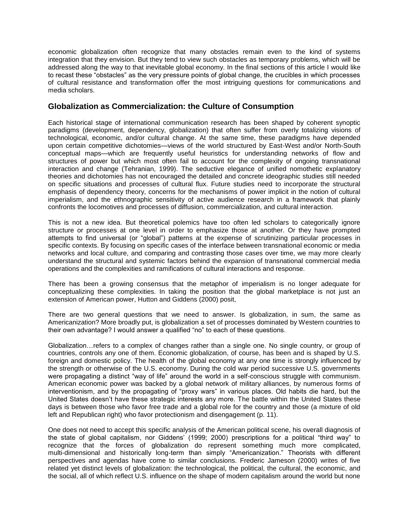economic globalization often recognize that many obstacles remain even to the kind of systems integration that they envision. But they tend to view such obstacles as temporary problems, which will be addressed along the way to that inevitable global economy. In the final sections of this article I would like to recast these "obstacles" as the very pressure points of global change, the crucibles in which processes of cultural resistance and transformation offer the most intriguing questions for communications and media scholars.

# **Globalization as Commercialization: the Culture of Consumption**

Each historical stage of international communication research has been shaped by coherent synoptic paradigms (development, dependency, globalization) that often suffer from overly totalizing visions of technological, economic, and/or cultural change. At the same time, these paradigms have depended upon certain competitive dichotomies—views of the world structured by East-West and/or North-South conceptual maps—which are frequently useful heuristics for understanding networks of flow and structures of power but which most often fail to account for the complexity of ongoing transnational interaction and change (Tehranian, 1999). The seductive elegance of unified nomothetic explanatory theories and dichotomies has not encouraged the detailed and concrete ideographic studies still needed on specific situations and processes of cultural flux. Future studies need to incorporate the structural emphasis of dependency theory, concerns for the mechanisms of power implicit in the notion of cultural imperialism, and the ethnographic sensitivity of active audience research in a framework that plainly confronts the locomotives and processes of diffusion, commercialization, and cultural interaction.

This is not a new idea. But theoretical polemics have too often led scholars to categorically ignore structure or processes at one level in order to emphasize those at another. Or they have prompted attempts to find universal (or "global") patterns at the expense of scrutinizing particular processes in specific contexts. By focusing on specific cases of the interface between transnational economic or media networks and local culture, and comparing and contrasting those cases over time, we may more clearly understand the structural and systemic factors behind the expansion of transnational commercial media operations and the complexities and ramifications of cultural interactions and response.

There has been a growing consensus that the metaphor of imperialism is no longer adequate for conceptualizing these complexities. In taking the position that the global marketplace is not just an extension of American power, Hutton and Giddens (2000) posit,

There are two general questions that we need to answer. Is globalization, in sum, the same as Americanization? More broadly put, is globalization a set of processes dominated by Western countries to their own advantage? I would answer a qualified "no" to each of these questions.

Globalization…refers to a complex of changes rather than a single one. No single country, or group of countries, controls any one of them. Economic globalization, of course, has been and is shaped by U.S. foreign and domestic policy. The health of the global economy at any one time is strongly influenced by the strength or otherwise of the U.S. economy. During the cold war period successive U.S. governments were propagating a distinct "way of life" around the world in a self-conscious struggle with communism. American economic power was backed by a global network of military alliances, by numerous forms of interventionism, and by the propagating of "proxy wars" in various places. Old habits die hard, but the United States doesn't have these strategic interests any more. The battle within the United States these days is between those who favor free trade and a global role for the country and those (a mixture of old left and Republican right) who favor protectionism and disengagement (p. 11).

One does not need to accept this specific analysis of the American political scene, his overall diagnosis of the state of global capitalism, nor Giddens' (1999; 2000) prescriptions for a political "third way" to recognize that the forces of globalization do represent something much more complicated, multi-dimensional and historically long-term than simply "Americanization." Theorists with different perspectives and agendas have come to similar conclusions. Frederic Jameson (2000) writes of five related yet distinct levels of globalization: the technological, the political, the cultural, the economic, and the social, all of which reflect U.S. influence on the shape of modern capitalism around the world but none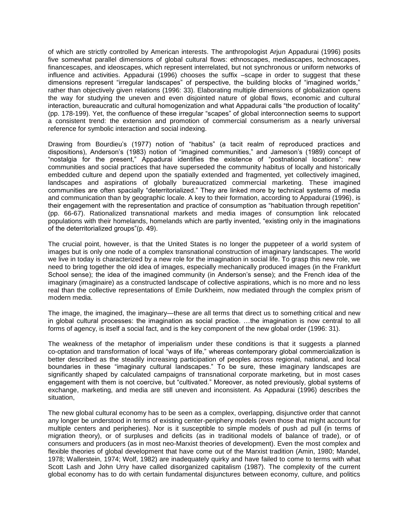of which are strictly controlled by American interests. The anthropologist Arjun Appadurai (1996) posits five somewhat parallel dimensions of global cultural flows: ethnoscapes, mediascapes, technoscapes, financescapes, and ideoscapes, which represent interrelated, but not synchronous or uniform networks of influence and activities. Appadurai (1996) chooses the suffix –scape in order to suggest that these dimensions represent "irregular landscapes" of perspective, the building blocks of "imagined worlds," rather than objectively given relations (1996: 33). Elaborating multiple dimensions of globalization opens the way for studying the uneven and even disjointed nature of global flows, economic and cultural interaction, bureaucratic and cultural homogenization and what Appadurai calls "the production of locality" (pp. 178-199). Yet, the confluence of these irregular "scapes" of global interconnection seems to support a consistent trend: the extension and promotion of commercial consumerism as a nearly universal reference for symbolic interaction and social indexing.

Drawing from Bourdieu's (1977) notion of "habitus" (a tacit realm of reproduced practices and dispositions), Anderson's (1983) notion of "imagined communities," and Jameson's (1989) concept of "nostalgia for the present," Appadurai identifies the existence of "postnational locations": new communities and social practices that have superseded the community habitus of locally and historically embedded culture and depend upon the spatially extended and fragmented, yet collectively imagined, landscapes and aspirations of globally bureaucratized commercial marketing. These imagined communities are often spacially "deterritorialized." They are linked more by technical systems of media and communication than by geographic locale. A key to their formation, according to Appadurai (1996), is their engagement with the representation and practice of consumption as "habituation through repetition" (pp. 66-67). Rationalized transnational markets and media images of consumption link relocated populations with their homelands, homelands which are partly invented, "existing only in the imaginations of the deterritorialized groups"(p. 49).

The crucial point, however, is that the United States is no longer the puppeteer of a world system of images but is only one node of a complex transnational construction of imaginary landscapes. The world we live in today is characterized by a new role for the imagination in social life. To grasp this new role, we need to bring together the old idea of images, especially mechanically produced images (in the Frankfurt School sense); the idea of the imagined community (in Anderson's sense); and the French idea of the imaginary (imaginaire) as a constructed landscape of collective aspirations, which is no more and no less real than the collective representations of Emile Durkheim, now mediated through the complex prism of modern media.

The image, the imagined, the imaginary—these are all terms that direct us to something critical and new in global cultural processes: the imagination as social practice. …the imagination is now central to all forms of agency, is itself a social fact, and is the key component of the new global order (1996: 31).

The weakness of the metaphor of imperialism under these conditions is that it suggests a planned co-optation and transformation of local "ways of life," whereas contemporary global commercialization is better described as the steadily increasing participation of peoples across regional, national, and local boundaries in these "imaginary cultural landscapes." To be sure, these imaginary landscapes are significantly shaped by calculated campaigns of transnational corporate marketing, but in most cases engagement with them is not coercive, but "cultivated." Moreover, as noted previously, global systems of exchange, marketing, and media are still uneven and inconsistent. As Appadurai (1996) describes the situation,

The new global cultural economy has to be seen as a complex, overlapping, disjunctive order that cannot any longer be understood in terms of existing center-periphery models (even those that might account for multiple centers and peripheries). Nor is it susceptible to simple models of push ad pull (in terms of migration theory), or of surpluses and deficits (as in traditional models of balance of trade), or of consumers and producers (as in most neo-Marxist theories of development). Even the most complex and flexible theories of global development that have come out of the Marxist tradition (Amin, 1980; Mandel, 1978; Wallerstein, 1974; Wolf, 1982) are inadequately quirky and have failed to come to terms with what Scott Lash and John Urry have called disorganized capitalism (1987). The complexity of the current global economy has to do with certain fundamental disjunctures between economy, culture, and politics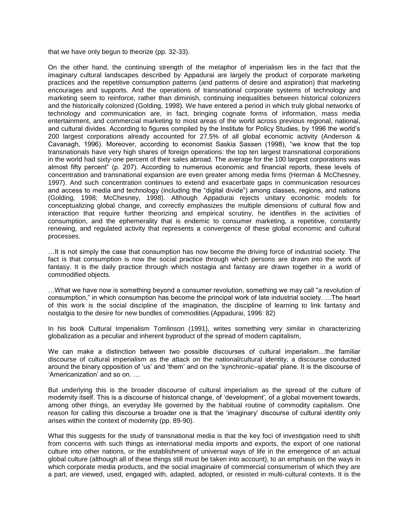that we have only begun to theorize (pp. 32-33).

On the other hand, the continuing strength of the metaphor of imperialism lies in the fact that the imaginary cultural landscapes described by Appadurai are largely the product of corporate marketing practices and the repetitive consumption patterns (and patterns of desire and aspiration) that marketing encourages and supports. And the operations of transnational corporate systems of technology and marketing seem to reinforce, rather than diminish, continuing inequalities between historical colonizers and the historically colonized (Golding, 1998). We have entered a period in which truly global networks of technology and communication are, in fact, bringing cognate forms of information, mass media entertainment, and commercial marketing to most areas of the world across previous regional, national, and cultural divides. According to figures compiled by the Institute for Policy Studies, by 1996 the world's 200 largest corporations already accounted for 27.5% of all global economic activity (Anderson & Cavanagh, 1996). Moreover, according to economist Saskia Sassen (1998), "we know that the top transnationals have very high shares of foreign operations: the top ten largest transnational corporations in the world had sixty-one percent of their sales abroad. The average for the 100 largest corporations was almost fifty percent" (p. 207). According to numerous economic and financial reports, these levels of concentration and transnational expansion are even greater among media firms (Herman & McChesney, 1997). And such concentration continues to extend and exacerbate gaps in communication resources and access to media and technology (including the "digital divide") among classes, regions, and nations (Golding, 1998; McChesney, 1998). Although Appadurai rejects unitary economic models for conceptualizing global change, and correctly emphasizes the multiple dimensions of cultural flow and interaction that require further theorizing and empirical scrutiny, he identifies in the activities of consumption, and the ephemerality that is endemic to consumer marketing, a repetitive, constantly renewing, and regulated activity that represents a convergence of these global economic and cultural processes.

…It is not simply the case that consumption has now become the driving force of industrial society. The fact is that consumption is now the social practice through which persons are drawn into the work of fantasy. It is the daily practice through which nostagia and fantasy are drawn together in a world of commodified objects.

…What we have now is something beyond a consumer revolution, something we may call "a revolution of consumption," in which consumption has become the principal work of late industrial society. …The heart of this work is the social discipline of the imagination, the discipline of learning to link fantasy and nostalgia to the desire for new bundles of commodities (Appadurai, 1996: 82)

In his book Cultural Imperialism Tomlinson (1991), writes something very similar in characterizing globalization as a peculiar and inherent byproduct of the spread of modern capitalism,

We can make a distinction between two possible discourses of cultural imperialism...the familiar discourse of cultural imperialism as the attack on the national/cultural identity, a discourse conducted around the binary opposition of 'us' and 'them' and on the 'synchronic–spatial' plane. It is the discourse of 'Americanization' and so on. …

But underlying this is the broader discourse of cultural imperialism as the spread of the culture of modernity itself. This is a discourse of historical change, of 'development', of a global movement towards, among other things, an everyday life governed by the habitual routine of commodity capitalism. One reason for calling this discourse a broader one is that the 'imaginary' discourse of cultural identity only arises within the context of modernity (pp. 89-90).

What this suggests for the study of transnational media is that the key foci of investigation need to shift from concerns with such things as international media imports and exports, the export of one national culture into other nations, or the establishment of universal ways of life in the emergence of an actual global culture (although all of these things still must be taken into account), to an emphasis on the ways in which corporate media products, and the social imaginaire of commercial consumerism of which they are a part, are viewed, used, engaged with, adapted, adopted, or resisted in multi-cultural contexts. It is the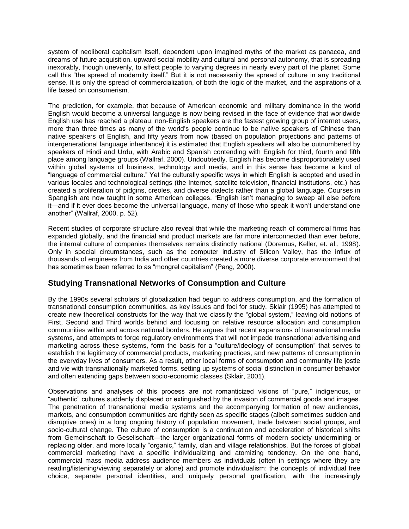system of neoliberal capitalism itself, dependent upon imagined myths of the market as panacea, and dreams of future acquisition, upward social mobility and cultural and personal autonomy, that is spreading inexorably, though unevenly, to affect people to varying degrees in nearly every part of the planet. Some call this "the spread of modernity itself." But it is not necessarily the spread of culture in any traditional sense. It is only the spread of commercialization, of both the logic of the market, and the aspirations of a life based on consumerism.

The prediction, for example, that because of American economic and military dominance in the world English would become a universal language is now being revised in the face of evidence that worldwide English use has reached a plateau: non-English speakers are the fastest growing group of internet users, more than three times as many of the world's people continue to be native speakers of Chinese than native speakers of English, and fifty years from now (based on population projections and patterns of intergenerational language inheritance) it is estimated that English speakers will also be outnumbered by speakers of Hindi and Urdu, with Arabic and Spanish contending with English for third, fourth and fifth place among language groups (Wallraf, 2000). Undoubtedly, English has become disproportionately used within global systems of business, technology and media, and in this sense has become a kind of "language of commercial culture." Yet the culturally specific ways in which English is adopted and used in various locales and technological settings (the Internet, satellite television, financial institutions, etc.) has created a proliferation of pidgins, creoles, and diverse dialects rather than a global language. Courses in Spanglish are now taught in some American colleges. "English isn't managing to sweep all else before it—and if it ever does become the universal language, many of those who speak it won't understand one another" (Wallraf, 2000, p. 52).

Recent studies of corporate structure also reveal that while the marketing reach of commercial firms has expanded globally, and the financial and product markets are far more interconnected than ever before, the internal culture of companies themselves remains distinctly national (Doremus, Keller, et. al., 1998). Only in special circumstances, such as the computer industry of Silicon Valley, has the influx of thousands of engineers from India and other countries created a more diverse corporate environment that has sometimes been referred to as "mongrel capitalism" (Pang, 2000).

# **Studying Transnational Networks of Consumption and Culture**

By the 1990s several scholars of globalization had begun to address consumption, and the formation of transnational consumption communities, as key issues and foci for study. Sklair (1995) has attempted to create new theoretical constructs for the way that we classify the "global system," leaving old notions of First, Second and Third worlds behind and focusing on relative resource allocation and consumption communities within and across national borders. He argues that recent expansions of transnational media systems, and attempts to forge regulatory environments that will not impede transnational advertising and marketing across these systems, form the basis for a "culture/ideology of consumption" that serves to establish the legitimacy of commercial products, marketing practices, and new patterns of consumption in the everyday lives of consumers. As a result, other local forms of consumption and community life jostle and vie with transnationally marketed forms, setting up systems of social distinction in consumer behavior and often extending gaps between socio-economic classes (Sklair, 2001).

Observations and analyses of this process are not romanticized visions of "pure," indigenous, or "authentic" cultures suddenly displaced or extinguished by the invasion of commercial goods and images. The penetration of transnational media systems and the accompanying formation of new audiences, markets, and consumption communities are rightly seen as specific stages (albeit sometimes sudden and disruptive ones) in a long ongoing history of population movement, trade between social groups, and socio-cultural change. The culture of consumption is a continuation and acceleration of historical shifts from Gemeinschaft to Gesellschaft—the larger organizational forms of modern society undermining or replacing older, and more locally "organic," family, clan and village relationships. But the forces of global commercial marketing have a specific individualizing and atomizing tendency. On the one hand, commercial mass media address audience members as individuals (often in settings where they are reading/listening/viewing separately or alone) and promote individualism: the concepts of individual free choice, separate personal identities, and uniquely personal gratification, with the increasingly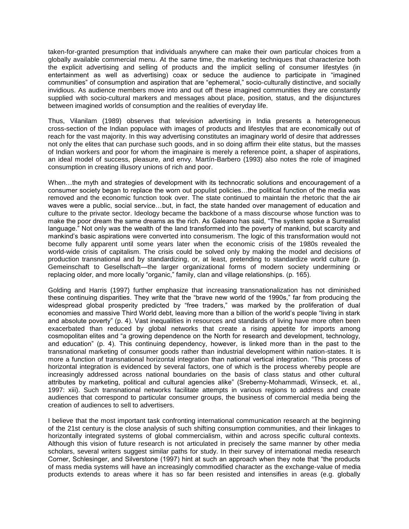taken-for-granted presumption that individuals anywhere can make their own particular choices from a globally available commercial menu. At the same time, the marketing techniques that characterize both the explicit advertising and selling of products and the implicit selling of consumer lifestyles (in entertainment as well as advertising) coax or seduce the audience to participate in "imagined communities" of consumption and aspiration that are "ephemeral," socio-culturally distinctive, and socially invidious. As audience members move into and out off these imagined communities they are constantly supplied with socio-cultural markers and messages about place, position, status, and the disjunctures between imagined worlds of consumption and the realities of everyday life.

Thus, Vilanilam (1989) observes that television advertising in India presents a heterogeneous cross-section of the Indian populace with images of products and lifestyles that are economically out of reach for the vast majority. In this way advertising constitutes an imaginary world of desire that addresses not only the elites that can purchase such goods, and in so doing affirm their elite status, but the masses of Indian workers and poor for whom the imaginaire is merely a reference point, a shaper of aspirations, an ideal model of success, pleasure, and envy. Martín-Barbero (1993) also notes the role of imagined consumption in creating illusory unions of rich and poor.

When...the myth and strategies of development with its technocratic solutions and encouragement of a consumer society began to replace the worn out populist policies…the political function of the media was removed and the economic function took over. The state continued to maintain the rhetoric that the air waves were a public, social service…but, in fact, the state handed over management of education and culture to the private sector. Ideology became the backbone of a mass discourse whose function was to make the poor dream the same dreams as the rich. As Galeano has said, "The system spoke a Surrealist language." Not only was the wealth of the land transformed into the poverty of mankind, but scarcity and mankind's basic aspirations were converted into consumerism. The logic of this transformation would not become fully apparent until some years later when the economic crisis of the 1980s revealed the world-wide crisis of capitalism. The crisis could be solved only by making the model and decisions of production transnational and by standardizing, or, at least, pretending to standardize world culture (p. Gemeinschaft to Gesellschaft—the larger organizational forms of modern society undermining or replacing older, and more locally "organic," family, clan and village relationships. (p. 165).

Golding and Harris (1997) further emphasize that increasing transnationalization has not diminished these continuing disparities. They write that the "brave new world of the 1990s," far from producing the widespread global prosperity predicted by "free traders," was marked by the proliferation of dual economies and massive Third World debt, leaving more than a billion of the world's people "living in stark and absolute poverty" (p. 4). Vast inequalities in resources and standards of living have more often been exacerbated than reduced by global networks that create a rising appetite for imports among cosmopolitan elites and "a growing dependence on the North for research and development, technology, and education" (p. 4). This continuing dependency, however, is linked more than in the past to the transnational marketing of consumer goods rather than industrial development within nation-states. It is more a function of transnational horizontal integration than national vertical integration. "This process of horizontal integration is evidenced by several factors, one of which is the process whereby people are increasingly addressed across national boundaries on the basis of class status and other cultural attributes by marketing, political and cultural agencies alike" (Sreberny-Mohammadi, Winseck, et. al., 1997: xiii). Such transnational networks facilitate attempts in various regions to address and create audiences that correspond to particular consumer groups, the business of commercial media being the creation of audiences to sell to advertisers.

I believe that the most important task confronting international communication research at the beginning of the 21st century is the close analysis of such shifting consumption communities, and their linkages to horizontally integrated systems of global commercialism, within and across specific cultural contexts. Although this vision of future research is not articulated in precisely the same manner by other media scholars, several writers suggest similar paths for study. In their survey of international media research Corner, Schlesinger, and Silverstone (1997) hint at such an approach when they note that "the products of mass media systems will have an increasingly commodified character as the exchange-value of media products extends to areas where it has so far been resisted and intensifies in areas (e.g. globally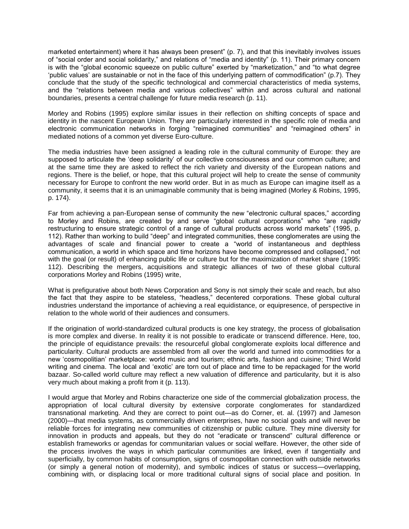marketed entertainment) where it has always been present" (p. 7), and that this inevitably involves issues of "social order and social solidarity," and relations of "media and identity" (p. 11). Their primary concern is with the "global economic squeeze on public culture" exerted by "marketization," and "to what degree 'public values' are sustainable or not in the face of this underlying pattern of commodification" (p.7). They conclude that the study of the specific technological and commercial characteristics of media systems, and the "relations between media and various collectives" within and across cultural and national boundaries, presents a central challenge for future media research (p. 11).

Morley and Robins (1995) explore similar issues in their reflection on shifting concepts of space and identity in the nascent European Union. They are particularly interested in the specific role of media and electronic communication networks in forging "reimagined communities" and "reimagined others" in mediated notions of a common yet diverse Euro-culture.

The media industries have been assigned a leading role in the cultural community of Europe: they are supposed to articulate the 'deep solidarity' of our collective consciousness and our common culture; and at the same time they are asked to reflect the rich variety and diversity of the European nations and regions. There is the belief, or hope, that this cultural project will help to create the sense of community necessary for Europe to confront the new world order. But in as much as Europe can imagine itself as a community, it seems that it is an unimaginable community that is being imagined (Morley & Robins, 1995, p. 174).

Far from achieving a pan-European sense of community the new "electronic cultural spaces," according to Morley and Robins, are created by and serve "global cultural corporations" who "are rapidly restructuring to ensure strategic control of a range of cultural products across world markets" (1995, p. 112). Rather than working to build "deep" and integrated communities, these conglomerates are using the advantages of scale and financial power to create a "world of instantaneous and depthless communication, a world in which space and time horizons have become compressed and collapsed," not with the goal (or result) of enhancing public life or culture but for the maximization of market share (1995: 112). Describing the mergers, acquisitions and strategic alliances of two of these global cultural corporations Morley and Robins (1995) write,

What is prefigurative about both News Corporation and Sony is not simply their scale and reach, but also the fact that they aspire to be stateless, "headless," decentered corporations. These global cultural industries understand the importance of achieving a real equidistance, or equipresence, of perspective in relation to the whole world of their audiences and consumers.

If the origination of world-standardized cultural products is one key strategy, the process of globalisation is more complex and diverse. In reality it is not possible to eradicate or transcend difference. Here, too, the principle of equidistance prevails: the resourceful global conglomerate exploits local difference and particularity. Cultural products are assembled from all over the world and turned into commodities for a new 'cosmopolitian' marketplace: world music and tourism; ethnic arts, fashion and cuisine; Third World writing and cinema. The local and 'exotic' are torn out of place and time to be repackaged for the world bazaar. So-called world culture may reflect a new valuation of difference and particularity, but it is also very much about making a profit from it (p. 113).

I would argue that Morley and Robins characterize one side of the commercial globalization process, the appropriation of local cultural diversity by extensive corporate conglomerates for standardized transnational marketing. And they are correct to point out—as do Corner, et. al. (1997) and Jameson (2000)—that media systems, as commercially driven enterprises, have no social goals and will never be reliable forces for integrating new communities of citizenship or public culture. They mine diversity for innovation in products and appeals, but they do not "eradicate or transcend" cultural difference or establish frameworks or agendas for communitarian values or social welfare. However, the other side of the process involves the ways in which particular communities are linked, even if tangentially and superficially, by common habits of consumption, signs of cosmopolitan connection with outside networks (or simply a general notion of modernity), and symbolic indices of status or success—overlapping, combining with, or displacing local or more traditional cultural signs of social place and position. In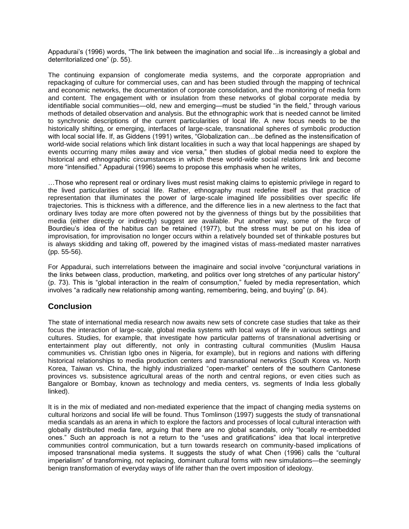Appadurai's (1996) words, "The link between the imagination and social life…is increasingly a global and deterritorialized one" (p. 55).

The continuing expansion of conglomerate media systems, and the corporate appropriation and repackaging of culture for commercial uses, can and has been studied through the mapping of technical and economic networks, the documentation of corporate consolidation, and the monitoring of media form and content. The engagement with or insulation from these networks of global corporate media by identifiable social communities—old, new and emerging—must be studied "in the field," through various methods of detailed observation and analysis. But the ethnographic work that is needed cannot be limited to synchronic descriptions of the current particularities of local life. A new focus needs to be the historically shifting, or emerging, interfaces of large-scale, transnational spheres of symbolic production with local social life. If, as Giddens (1991) writes, "Globalization can…be defined as the instensification of world-wide social relations which link distant localities in such a way that local happenings are shaped by events occurring many miles away and vice versa," then studies of global media need to explore the historical and ethnographic circumstances in which these world-wide social relations link and become more "intensified." Appadurai (1996) seems to propose this emphasis when he writes,

…Those who represent real or ordinary lives must resist making claims to epistemic privilege in regard to the lived particularities of social life. Rather, ethnography must redefine itself as that practice of representation that illuminates the power of large-scale imagined life possibilities over specific life trajectories. This is thickness with a difference, and the difference lies in a new alertness to the fact that ordinary lives today are more often powered not by the givenness of things but by the possibilities that media (either directly or indirectly) suggest are available. Put another way, some of the force of Bourdieu's idea of the habitus can be retained (1977), but the stress must be put on his idea of improvisation, for improvisation no longer occurs within a relatively bounded set of thinkable postures but is always skidding and taking off, powered by the imagined vistas of mass-mediated master narratives (pp. 55-56).

For Appadurai, such interrelations between the imaginaire and social involve "conjunctural variations in the links between class, production, marketing, and politics over long stretches of any particular history" (p. 73). This is "global interaction in the realm of consumption," fueled by media representation, which involves "a radically new relationship among wanting, remembering, being, and buying" (p. 84).

# **Conclusion**

The state of international media research now awaits new sets of concrete case studies that take as their focus the interaction of large-scale, global media systems with local ways of life in various settings and cultures. Studies, for example, that investigate how particular patterns of transnational advertising or entertainment play out differently, not only in contrasting cultural communities (Muslim Hausa communities vs. Christian Igbo ones in Nigeria, for example), but in regions and nations with differing historical relationships to media production centers and transnational networks (South Korea vs. North Korea, Taiwan vs. China, the highly industrialized "open-market" centers of the southern Cantonese provinces vs. subsistence agricultural areas of the north and central regions, or even cities such as Bangalore or Bombay, known as technology and media centers, vs. segments of India less globally linked).

It is in the mix of mediated and non-mediated experience that the impact of changing media systems on cultural horizons and social life will be found. Thus Tomlinson (1997) suggests the study of transnational media scandals as an arena in which to explore the factors and processes of local cultural interaction with globally distributed media fare, arguing that there are no global scandals, only "locally re-embedded ones." Such an approach is not a return to the "uses and gratifications" idea that local interpretive communities control communication, but a turn towards research on community-based implications of imposed transnational media systems. It suggests the study of what Chen (1996) calls the "cultural imperialism" of transforming, not replacing, dominant cultural forms with new simulations—the seemingly benign transformation of everyday ways of life rather than the overt imposition of ideology.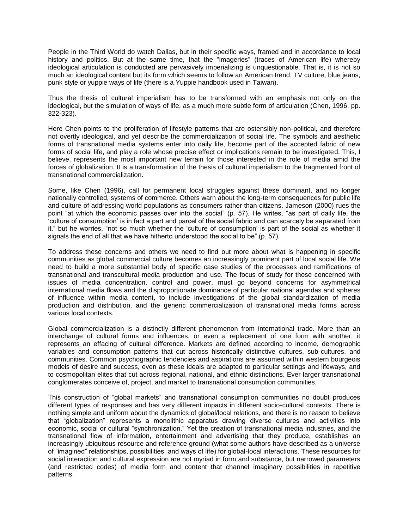People in the Third World do watch Dallas, but in their specific ways, framed and in accordance to local history and politics. But at the same time, that the "imageries" (traces of American life) whereby ideological articulation is conducted are pervasively imperializing is unquestionable. That is, it is not so much an ideological content but its form which seems to follow an American trend: TV culture, blue jeans, punk style or yuppie ways of life (there is a Yuppie handbook used in Taiwan).

Thus the thesis of cultural imperialism has to be transformed with an emphasis not only on the ideological, but the simulation of ways of life, as a much more subtle form of articulation (Chen, 1996, pp. 322-323).

Here Chen points to the proliferation of lifestyle patterns that are ostensibly non-political, and therefore not overtly ideological, and yet describe the commercialization of social life. The symbols and aesthetic forms of transnational media systems enter into daily life, become part of the accepted fabric of new forms of social life, and play a role whose precise effect or implications remain to be investigated. This, I believe, represents the most important new terrain for those interested in the role of media amid the forces of globalization. It is a transformation of the thesis of cultural imperialism to the fragmented front of transnational commercialization.

Some, like Chen (1996), call for permanent local struggles against these dominant, and no longer nationally controlled, systems of commerce. Others warn about the long-term consequences for public life and culture of addressing world populations as consumers rather than citizens. Jameson (2000) rues the point "at which the economic passes over into the social" (p. 57). He writes, "as part of daily life, the 'culture of consumption' is in fact a part and parcel of the social fabric and can scarcely be separated from it," but he worries, "not so much whether the 'culture of consumption' is part of the social as whether it signals the end of all that we have hitherto understood the social to be" (p. 57).

To address these concerns and others we need to find out more about what is happening in specific communities as global commercial culture becomes an increasingly prominent part of local social life. We need to build a more substantial body of specific case studies of the processes and ramifications of transnational and transcultural media production and use. The focus of study for those concerned with issues of media concentration, control and power, must go beyond concerns for asymmetrical international media flows and the disproportionate dominance of particular national agendas and spheres of influence within media content, to include investigations of the global standardization of media production and distribution, and the generic commercialization of transnational media forms across various local contexts.

Global commercialization is a distinctly different phenomenon from international trade. More than an interchange of cultural forms and influences, or even a replacement of one form with another, it represents an effacing of cultural difference. Markets are defined according to income, demographic variables and consumption patterns that cut across historically distinctive cultures, sub-cultures, and communities. Common psychographic tendencies and aspirations are assumed within western bourgeois models of desire and success, even as these ideals are adapted to particular settings and lifeways, and to cosmopolitan elites that cut across regional, national, and ethnic distinctions. Ever larger transnational conglomerates conceive of, project, and market to transnational consumption communities.

This construction of "global markets" and transnational consumption communities no doubt produces different types of responses and has very different impacts in different socio-cultural contexts. There is nothing simple and uniform about the dynamics of global/local relations, and there is no reason to believe that "globalization" represents a monolithic apparatus drawing diverse cultures and activities into economic, social or cultural "synchronization." Yet the creation of transnational media industries, and the transnational flow of information, entertainment and advertising that they produce, establishes an increasingly ubiquitous resource and reference ground (what some authors have described as a universe of "imagined" relationships, possibilities, and ways of life) for global-local interactions. These resources for social interaction and cultural expression are not myriad in form and substance, but narrowed parameters (and restricted codes) of media form and content that channel imaginary possibilities in repetitive patterns.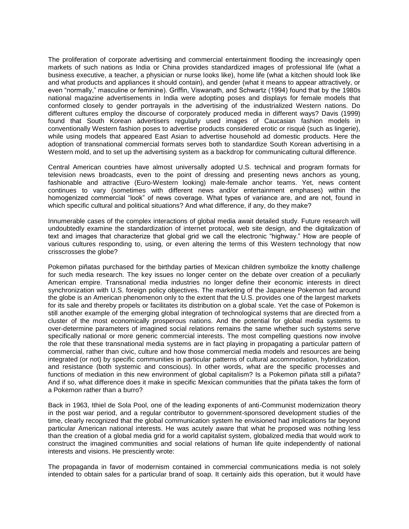The proliferation of corporate advertising and commercial entertainment flooding the increasingly open markets of such nations as India or China provides standardized images of professional life (what a business executive, a teacher, a physician or nurse looks like), home life (what a kitchen should look like and what products and appliances it should contain), and gender (what it means to appear attractively, or even "normally," masculine or feminine). Griffin, Viswanath, and Schwartz (1994) found that by the 1980s national magazine advertisements in India were adopting poses and displays for female models that conformed closely to gender portrayals in the advertising of the industrialized Western nations. Do different cultures employ the discourse of corporately produced media in different ways? Davis (1999) found that South Korean advertisers regularly used images of Caucasian fashion models in conventionally Western fashion poses to advertise products considered erotic or risqué (such as lingerie), while using models that appeared East Asian to advertise household ad domestic products. Here the adoption of transnational commercial formats serves both to standardize South Korean advertising in a Western mold, and to set up the advertising system as a backdrop for communicating cultural difference.

Central American countries have almost universally adopted U.S. technical and program formats for television news broadcasts, even to the point of dressing and presenting news anchors as young, fashionable and attractive (Euro-Western looking) male-female anchor teams. Yet, news content continues to vary (sometimes with different news and/or entertainment emphases) within the homogenized commercial "look" of news coverage. What types of variance are, and are not, found in which specific cultural and political situations? And what difference, if any, do they make?

Innumerable cases of the complex interactions of global media await detailed study. Future research will undoubtedly examine the standardization of internet protocal, web site design, and the digitalization of text and images that characterize that global grid we call the electronic "highway." How are people of various cultures responding to, using, or even altering the terms of this Western technology that now crisscrosses the globe?

Pokemon piñatas purchased for the birthday parties of Mexican children symbolize the knotty challenge for such media research. The key issues no longer center on the debate over creation of a peculiarly American empire. Transnational media industries no longer define their economic interests in direct synchronization with U.S. foreign policy objectives. The marketing of the Japanese Pokemon fad around the globe is an American phenomenon only to the extent that the U.S. provides one of the largest markets for its sale and thereby propels or facilitates its distribution on a global scale. Yet the case of Pokemon is still another example of the emerging global integration of technological systems that are directed from a cluster of the most economically prosperous nations. And the potential for global media systems to over-determine parameters of imagined social relations remains the same whether such systems serve specifically national or more generic commercial interests. The most compelling questions now involve the role that these transnational media systems are in fact playing in propagating a particular pattern of commercial, rather than civic, culture and how those commercial media models and resources are being integrated (or not) by specific communities in particular patterns of cultural accommodation, hybridization, and resistance (both systemic and conscious). In other words, what are the specific processes and functions of mediation in this new environment of global capitalism? Is a Pokemon piñata still a piñata? And if so, what difference does it make in specific Mexican communities that the piñata takes the form of a Pokemon rather than a burro?

Back in 1963, Ithiel de Sola Pool, one of the leading exponents of anti-Communist modernization theory in the post war period, and a regular contributor to government-sponsored development studies of the time, clearly recognized that the global communication system he envisioned had implications far beyond particular American national interests. He was acutely aware that what he proposed was nothing less than the creation of a global media grid for a world capitalist system, globalized media that would work to construct the imagined communities and social relations of human life quite independently of national interests and visions. He presciently wrote:

The propaganda in favor of modernism contained in commercial communications media is not solely intended to obtain sales for a particular brand of soap. It certainly aids this operation, but it would have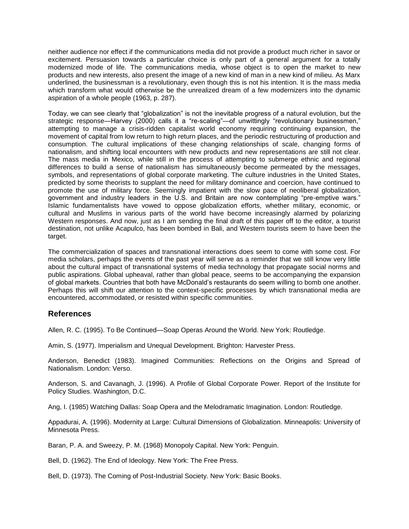neither audience nor effect if the communications media did not provide a product much richer in savor or excitement. Persuasion towards a particular choice is only part of a general argument for a totally modernized mode of life. The communications media, whose object is to open the market to new products and new interests, also present the image of a new kind of man in a new kind of milieu. As Marx underlined, the businessman is a revolutionary, even though this is not his intention. It is the mass media which transform what would otherwise be the unrealized dream of a few modernizers into the dynamic aspiration of a whole people (1963, p. 287).

Today, we can see clearly that "globalization" is not the inevitable progress of a natural evolution, but the strategic response—Harvey (2000) calls it a "re-scaling"—of unwittingly "revolutionary businessmen," attempting to manage a crisis-ridden capitalist world economy requiring continuing expansion, the movement of capital from low return to high return places, and the periodic restructuring of production and consumption. The cultural implications of these changing relationships of scale, changing forms of nationalism, and shifting local encounters with new products and new representations are still not clear. The mass media in Mexico, while still in the process of attempting to submerge ethnic and regional differences to build a sense of nationalism has simultaneously become permeated by the messages, symbols, and representations of global corporate marketing. The culture industries in the United States, predicted by some theorists to supplant the need for military dominance and coercion, have continued to promote the use of military force. Seemingly impatient with the slow pace of neoliberal globalization, government and industry leaders in the U.S. and Britain are now contemplating "pre-emptive wars." Islamic fundamentalists have vowed to oppose globalization efforts, whether military, economic, or cultural and Muslims in various parts of the world have become increasingly alarmed by polarizing Western responses. And now, just as I am sending the final draft of this paper off to the editor, a tourist destination, not unlike Acapulco, has been bombed in Bali, and Western tourists seem to have been the target.

The commercialization of spaces and transnational interactions does seem to come with some cost. For media scholars, perhaps the events of the past year will serve as a reminder that we still know very little about the cultural impact of transnational systems of media technology that propagate social norms and public aspirations. Global upheaval, rather than global peace, seems to be accompanying the expansion of global markets. Countries that both have McDonald's restaurants do seem willing to bomb one another. Perhaps this will shift our attention to the context-specific processes by which transnational media are encountered, accommodated, or resisted within specific communities.

# **References**

Allen, R. C. (1995). To Be Continued—Soap Operas Around the World. New York: Routledge.

Amin, S. (1977). Imperialism and Unequal Development. Brighton: Harvester Press.

Anderson, Benedict (1983). Imagined Communities: Reflections on the Origins and Spread of Nationalism. London: Verso.

Anderson, S. and Cavanagh, J. (1996). A Profile of Global Corporate Power. Report of the Institute for Policy Studies. Washington, D.C.

Ang, I. (1985) Watching Dallas: Soap Opera and the Melodramatic Imagination. London: Routledge.

Appadurai, A. (1996). Modernity at Large: Cultural Dimensions of Globalization. Minneapolis: University of Minnesota Press.

Baran, P. A. and Sweezy, P. M. (1968) Monopoly Capital. New York: Penguin.

Bell, D. (1962). The End of Ideology. New York: The Free Press.

Bell, D. (1973). The Coming of Post-Industrial Society. New York: Basic Books.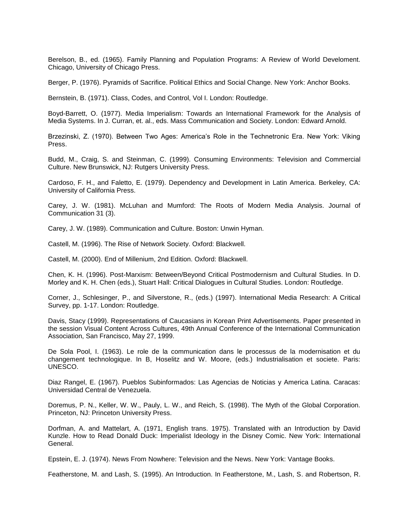Berelson, B., ed. (1965). Family Planning and Population Programs: A Review of World Develoment. Chicago, University of Chicago Press.

Berger, P. (1976). Pyramids of Sacrifice. Political Ethics and Social Change. New York: Anchor Books.

Bernstein, B. (1971). Class, Codes, and Control, Vol I. London: Routledge.

Boyd-Barrett, O. (1977). Media Imperialism: Towards an International Framework for the Analysis of Media Systems. In J. Curran, et. al., eds. Mass Communication and Society. London: Edward Arnold.

Brzezinski, Z. (1970). Between Two Ages: America's Role in the Technetronic Era. New York: Viking Press.

Budd, M., Craig, S. and Steinman, C. (1999). Consuming Environments: Television and Commercial Culture. New Brunswick, NJ: Rutgers University Press.

Cardoso, F. H., and Faletto, E. (1979). Dependency and Development in Latin America. Berkeley, CA: University of California Press.

Carey, J. W. (1981). McLuhan and Mumford: The Roots of Modern Media Analysis. Journal of Communication 31 (3).

Carey, J. W. (1989). Communication and Culture. Boston: Unwin Hyman.

Castell, M. (1996). The Rise of Network Society. Oxford: Blackwell.

Castell, M. (2000). End of Millenium, 2nd Edition. Oxford: Blackwell.

Chen, K. H. (1996). Post-Marxism: Between/Beyond Critical Postmodernism and Cultural Studies. In D. Morley and K. H. Chen (eds.), Stuart Hall: Critical Dialogues in Cultural Studies. London: Routledge.

Corner, J., Schlesinger, P., and Silverstone, R., (eds.) (1997). International Media Research: A Critical Survey, pp. 1-17. London: Routledge.

Davis, Stacy (1999). Representations of Caucasians in Korean Print Advertisements. Paper presented in the session Visual Content Across Cultures, 49th Annual Conference of the International Communication Association, San Francisco, May 27, 1999.

De Sola Pool, I. (1963). Le role de la communication dans le processus de la modernisation et du changement technologique. In B, Hoselitz and W. Moore, (eds.) Industrialisation et societe. Paris: UNESCO.

Diaz Rangel, E. (1967). Pueblos Subinformados: Las Agencias de Noticias y America Latina. Caracas: Universidad Central de Venezuela.

Doremus, P. N., Keller, W. W., Pauly, L. W., and Reich, S. (1998). The Myth of the Global Corporation. Princeton, NJ: Princeton University Press.

Dorfman, A. and Mattelart, A. (1971, English trans. 1975). Translated with an Introduction by David Kunzle. How to Read Donald Duck: Imperialist Ideology in the Disney Comic. New York: International General.

Epstein, E. J. (1974). News From Nowhere: Television and the News. New York: Vantage Books.

Featherstone, M. and Lash, S. (1995). An Introduction. In Featherstone, M., Lash, S. and Robertson, R.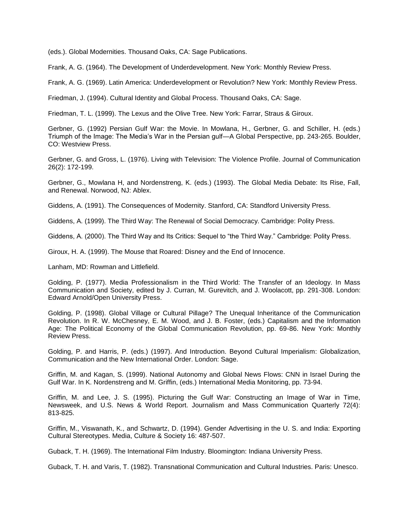(eds.). Global Modernities. Thousand Oaks, CA: Sage Publications.

Frank, A. G. (1964). The Development of Underdevelopment. New York: Monthly Review Press.

Frank, A. G. (1969). Latin America: Underdevelopment or Revolution? New York: Monthly Review Press.

Friedman, J. (1994). Cultural Identity and Global Process. Thousand Oaks, CA: Sage.

Friedman, T. L. (1999). The Lexus and the Olive Tree. New York: Farrar, Straus & Giroux.

Gerbner, G. (1992) Persian Gulf War: the Movie. In Mowlana, H., Gerbner, G. and Schiller, H. (eds.) Triumph of the Image: The Media's War in the Persian gulf—A Global Perspective, pp. 243-265. Boulder, CO: Westview Press.

Gerbner, G. and Gross, L. (1976). Living with Television: The Violence Profile. Journal of Communication 26(2): 172-199.

Gerbner, G., Mowlana H, and Nordenstreng, K. (eds.) (1993). The Global Media Debate: Its Rise, Fall, and Renewal. Norwood, NJ: Ablex.

Giddens, A. (1991). The Consequences of Modernity. Stanford, CA: Standford University Press.

Giddens, A. (1999). The Third Way: The Renewal of Social Democracy. Cambridge: Polity Press.

Giddens, A. (2000). The Third Way and Its Critics: Sequel to "the Third Way." Cambridge: Polity Press.

Giroux, H. A. (1999). The Mouse that Roared: Disney and the End of Innocence.

Lanham, MD: Rowman and Littlefield.

Golding, P. (1977). Media Professionalism in the Third World: The Transfer of an Ideology. In Mass Communication and Society, edited by J. Curran, M. Gurevitch, and J. Woolacott, pp. 291-308. London: Edward Arnold/Open University Press.

Golding, P. (1998). Global Village or Cultural Pillage? The Unequal Inheritance of the Communication Revolution. In R. W. McChesney, E. M. Wood, and J. B. Foster, (eds.) Capitalism and the Information Age: The Political Economy of the Global Communication Revolution, pp. 69-86. New York: Monthly Review Press.

Golding, P. and Harris, P. (eds.) (1997). And Introduction. Beyond Cultural Imperialism: Globalization, Communication and the New International Order. London: Sage.

Griffin, M. and Kagan, S. (1999). National Autonomy and Global News Flows: CNN in Israel During the Gulf War. In K. Nordenstreng and M. Griffin, (eds.) International Media Monitoring, pp. 73-94.

Griffin, M. and Lee, J. S. (1995). Picturing the Gulf War: Constructing an Image of War in Time, Newsweek, and U.S. News & World Report. Journalism and Mass Communication Quarterly 72(4): 813-825.

Griffin, M., Viswanath, K., and Schwartz, D. (1994). Gender Advertising in the U. S. and India: Exporting Cultural Stereotypes. Media, Culture & Society 16: 487-507.

Guback, T. H. (1969). The International Film Industry. Bloomington: Indiana University Press.

Guback, T. H. and Varis, T. (1982). Transnational Communication and Cultural Industries. Paris: Unesco.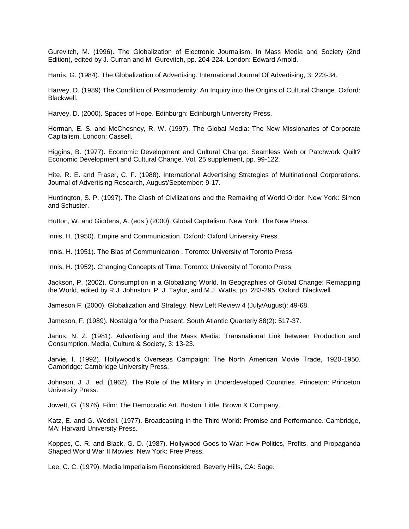Gurevitch, M. (1996). The Globalization of Electronic Journalism. In Mass Media and Society (2nd Edition), edited by J. Curran and M. Gurevitch, pp. 204-224. London: Edward Arnold.

Harris, G. (1984). The Globalization of Advertising. International Journal Of Advertising, 3: 223-34.

Harvey, D. (1989) The Condition of Postmodernity: An Inquiry into the Origins of Cultural Change. Oxford: Blackwell.

Harvey, D. (2000). Spaces of Hope. Edinburgh: Edinburgh University Press.

Herman, E. S. and McChesney, R. W. (1997). The Global Media: The New Missionaries of Corporate Capitalism. London: Cassell.

Higgins, B. (1977). Economic Development and Cultural Change: Seamless Web or Patchwork Quilt? Economic Development and Cultural Change. Vol. 25 supplement, pp. 99-122.

Hite, R. E. and Fraser, C. F. (1988). International Advertising Strategies of Multinational Corporations. Journal of Advertising Research, August/September: 9-17.

Huntington, S. P. (1997). The Clash of Civilizations and the Remaking of World Order. New York: Simon and Schuster.

Hutton, W. and Giddens, A. (eds.) (2000). Global Capitalism. New York: The New Press.

Innis, H. (1950). Empire and Communication. Oxford: Oxford University Press.

Innis, H. (1951). The Bias of Communication . Toronto: University of Toronto Press.

Innis, H. (1952). Changing Concepts of Time. Toronto: University of Toronto Press.

Jackson, P. (2002). Consumption in a Globalizing World. In Geographies of Global Change: Remapping the World, edited by R.J. Johnston, P. J. Taylor, and M.J. Watts, pp. 283-295. Oxford: Blackwell.

Jameson F. (2000). Globalization and Strategy. New Left Review 4 (July/August): 49-68.

Jameson, F. (1989). Nostalgia for the Present. South Atlantic Quarterly 88(2): 517-37.

Janus, N. Z. (1981). Advertising and the Mass Media: Transnational Link between Production and Consumption. Media, Culture & Society, 3: 13-23.

Jarvie, I. (1992). Hollywood's Overseas Campaign: The North American Movie Trade, 1920-1950. Cambridge: Cambridge University Press.

Johnson, J. J., ed. (1962). The Role of the Military in Underdeveloped Countries. Princeton: Princeton University Press.

Jowett, G. (1976). Film: The Democratic Art. Boston: Little, Brown & Company.

Katz, E. and G. Wedell, (1977). Broadcasting in the Third World: Promise and Performance. Cambridge, MA: Harvard University Press.

Koppes, C. R. and Black, G. D. (1987). Hollywood Goes to War: How Politics, Profits, and Propaganda Shaped World War II Movies. New York: Free Press.

Lee, C. C. (1979). Media Imperialism Reconsidered. Beverly Hills, CA: Sage.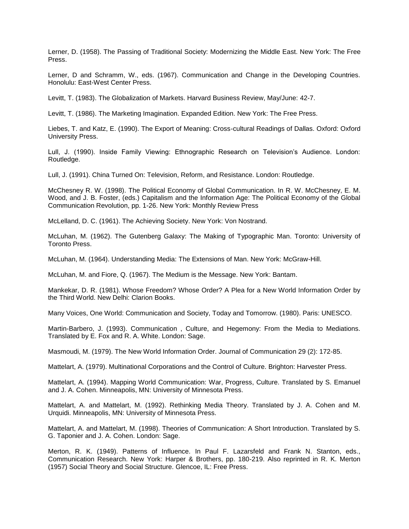Lerner, D. (1958). The Passing of Traditional Society: Modernizing the Middle East. New York: The Free Press.

Lerner, D and Schramm, W., eds. (1967). Communication and Change in the Developing Countries. Honolulu: East-West Center Press.

Levitt, T. (1983). The Globalization of Markets. Harvard Business Review, May/June: 42-7.

Levitt, T. (1986). The Marketing Imagination. Expanded Edition. New York: The Free Press.

Liebes, T. and Katz, E. (1990). The Export of Meaning: Cross-cultural Readings of Dallas. Oxford: Oxford University Press.

Lull, J. (1990). Inside Family Viewing: Ethnographic Research on Television's Audience. London: Routledge.

Lull, J. (1991). China Turned On: Television, Reform, and Resistance. London: Routledge.

McChesney R. W. (1998). The Political Economy of Global Communication. In R. W. McChesney, E. M. Wood, and J. B. Foster, (eds.) Capitalism and the Information Age: The Political Economy of the Global Communication Revolution, pp. 1-26. New York: Monthly Review Press

McLelland, D. C. (1961). The Achieving Society. New York: Von Nostrand.

McLuhan, M. (1962). The Gutenberg Galaxy: The Making of Typographic Man. Toronto: University of Toronto Press.

McLuhan, M. (1964). Understanding Media: The Extensions of Man. New York: McGraw-Hill.

McLuhan, M. and Fiore, Q. (1967). The Medium is the Message. New York: Bantam.

Mankekar, D. R. (1981). Whose Freedom? Whose Order? A Plea for a New World Information Order by the Third World. New Delhi: Clarion Books.

Many Voices, One World: Communication and Society, Today and Tomorrow. (1980). Paris: UNESCO.

Martin-Barbero, J. (1993). Communication , Culture, and Hegemony: From the Media to Mediations. Translated by E. Fox and R. A. White. London: Sage.

Masmoudi, M. (1979). The New World Information Order. Journal of Communication 29 (2): 172-85.

Mattelart, A. (1979). Multinational Corporations and the Control of Culture. Brighton: Harvester Press.

Mattelart, A. (1994). Mapping World Communication: War, Progress, Culture. Translated by S. Emanuel and J. A. Cohen. Minneapolis, MN: University of Minnesota Press.

Mattelart, A. and Mattelart, M. (1992). Rethinking Media Theory. Translated by J. A. Cohen and M. Urquidi. Minneapolis, MN: University of Minnesota Press.

Mattelart, A. and Mattelart, M. (1998). Theories of Communication: A Short Introduction. Translated by S. G. Taponier and J. A. Cohen. London: Sage.

Merton, R. K. (1949). Patterns of Influence. In Paul F. Lazarsfeld and Frank N. Stanton, eds., Communication Research. New York: Harper & Brothers, pp. 180-219. Also reprinted in R. K. Merton (1957) Social Theory and Social Structure. Glencoe, IL: Free Press.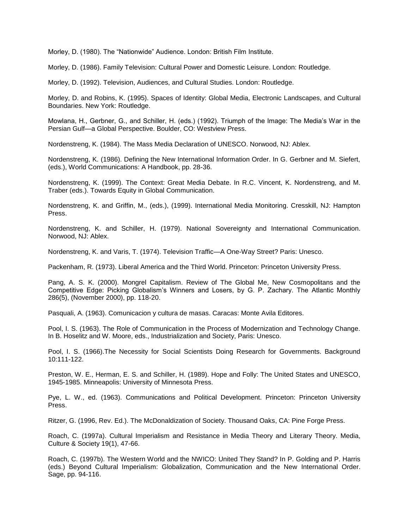Morley, D. (1980). The "Nationwide" Audience. London: British Film Institute.

Morley, D. (1986). Family Television: Cultural Power and Domestic Leisure. London: Routledge.

Morley, D. (1992). Television, Audiences, and Cultural Studies. London: Routledge.

Morley, D. and Robins, K. (1995). Spaces of Identity: Global Media, Electronic Landscapes, and Cultural Boundaries. New York: Routledge.

Mowlana, H., Gerbner, G., and Schiller, H. (eds.) (1992). Triumph of the Image: The Media's War in the Persian Gulf—a Global Perspective. Boulder, CO: Westview Press.

Nordenstreng, K. (1984). The Mass Media Declaration of UNESCO. Norwood, NJ: Ablex.

Nordenstreng, K. (1986). Defining the New International Information Order. In G. Gerbner and M. Siefert, (eds.), World Communications: A Handbook, pp. 28-36.

Nordenstreng, K. (1999). The Context: Great Media Debate. In R.C. Vincent, K. Nordenstreng, and M. Traber (eds.). Towards Equity in Global Communication.

Nordenstreng, K. and Griffin, M., (eds.), (1999). International Media Monitoring. Cresskill, NJ: Hampton Press.

Nordenstreng, K. and Schiller, H. (1979). National Sovereignty and International Communication. Norwood, NJ: Ablex.

Nordenstreng, K. and Varis, T. (1974). Television Traffic—A One-Way Street? Paris: Unesco.

Packenham, R. (1973). Liberal America and the Third World. Princeton: Princeton University Press.

Pang, A. S. K. (2000). Mongrel Capitalism. Review of The Global Me, New Cosmopolitans and the Competitive Edge: Picking Globalism's Winners and Losers, by G. P. Zachary. The Atlantic Monthly 286(5), (November 2000), pp. 118-20.

Pasquali, A. (1963). Comunicacion y cultura de masas. Caracas: Monte Avila Editores.

Pool, I. S. (1963). The Role of Communication in the Process of Modernization and Technology Change. In B. Hoselitz and W. Moore, eds., Industrialization and Society, Paris: Unesco.

Pool, I. S. (1966).The Necessity for Social Scientists Doing Research for Governments. Background 10:111-122.

Preston, W. E., Herman, E. S. and Schiller, H. (1989). Hope and Folly: The United States and UNESCO, 1945-1985. Minneapolis: University of Minnesota Press.

Pye, L. W., ed. (1963). Communications and Political Development. Princeton: Princeton University Press.

Ritzer, G. (1996, Rev. Ed.). The McDonaldization of Society. Thousand Oaks, CA: Pine Forge Press.

Roach, C. (1997a). Cultural Imperialism and Resistance in Media Theory and Literary Theory. Media, Culture & Society 19(1), 47-66.

Roach, C. (1997b). The Western World and the NWICO: United They Stand? In P. Golding and P. Harris (eds.) Beyond Cultural Imperialism: Globalization, Communication and the New International Order. Sage, pp. 94-116.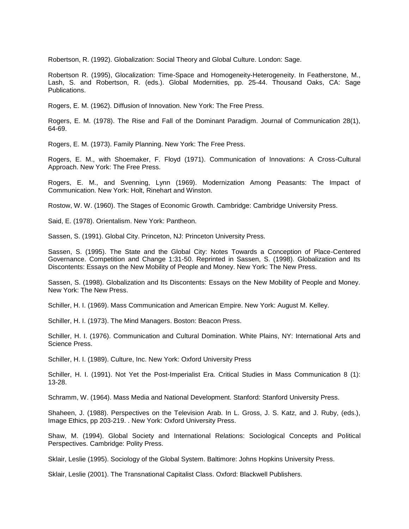Robertson, R. (1992). Globalization: Social Theory and Global Culture. London: Sage.

Robertson R. (1995), Glocalization: Time-Space and Homogeneity-Heterogeneity. In Featherstone, M., Lash, S. and Robertson, R. (eds.). Global Modernities, pp. 25-44. Thousand Oaks, CA: Sage Publications.

Rogers, E. M. (1962). Diffusion of Innovation. New York: The Free Press.

Rogers, E. M. (1978). The Rise and Fall of the Dominant Paradigm. Journal of Communication 28(1), 64-69.

Rogers, E. M. (1973). Family Planning. New York: The Free Press.

Rogers, E. M., with Shoemaker, F. Floyd (1971). Communication of Innovations: A Cross-Cultural Approach. New York: The Free Press.

Rogers, E. M., and Svenning, Lynn (1969). Modernization Among Peasants: The Impact of Communication. New York: Holt, Rinehart and Winston.

Rostow, W. W. (1960). The Stages of Economic Growth. Cambridge: Cambridge University Press.

Said, E. (1978). Orientalism. New York: Pantheon.

Sassen, S. (1991). Global City. Princeton, NJ: Princeton University Press.

Sassen, S. (1995). The State and the Global City: Notes Towards a Conception of Place-Centered Governance. Competition and Change 1:31-50. Reprinted in Sassen, S. (1998). Globalization and Its Discontents: Essays on the New Mobility of People and Money. New York: The New Press.

Sassen, S. (1998). Globalization and Its Discontents: Essays on the New Mobility of People and Money. New York: The New Press.

Schiller, H. I. (1969). Mass Communication and American Empire. New York: August M. Kelley.

Schiller, H. I. (1973). The Mind Managers. Boston: Beacon Press.

Schiller, H. I. (1976). Communication and Cultural Domination. White Plains, NY: International Arts and Science Press.

Schiller, H. I. (1989). Culture, Inc. New York: Oxford University Press

Schiller, H. I. (1991). Not Yet the Post-Imperialist Era. Critical Studies in Mass Communication 8 (1): 13-28.

Schramm, W. (1964). Mass Media and National Development. Stanford: Stanford University Press.

Shaheen, J. (1988). Perspectives on the Television Arab. In L. Gross, J. S. Katz, and J. Ruby, (eds.), Image Ethics, pp 203-219. . New York: Oxford University Press.

Shaw, M. (1994). Global Society and International Relations: Sociological Concepts and Political Perspectives. Cambridge: Polity Press.

Sklair, Leslie (1995). Sociology of the Global System. Baltimore: Johns Hopkins University Press.

Sklair, Leslie (2001). The Transnational Capitalist Class. Oxford: Blackwell Publishers.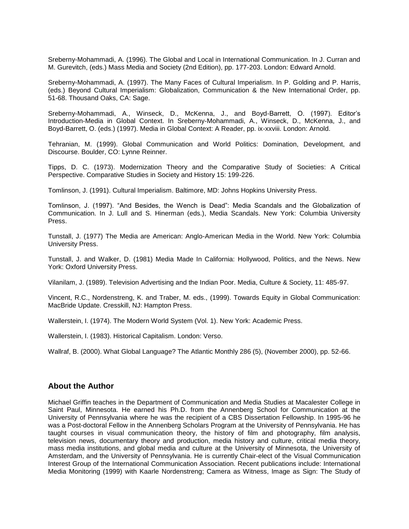Sreberny-Mohammadi, A. (1996). The Global and Local in International Communication. In J. Curran and M. Gurevitch, (eds.) Mass Media and Society (2nd Edition), pp. 177-203. London: Edward Arnold.

Sreberny-Mohammadi, A. (1997). The Many Faces of Cultural Imperialism. In P. Golding and P. Harris, (eds.) Beyond Cultural Imperialism: Globalization, Communication & the New International Order, pp. 51-68. Thousand Oaks, CA: Sage.

Sreberny-Mohammadi, A., Winseck, D., McKenna, J., and Boyd-Barrett, O. (1997). Editor's Introduction-Media in Global Context. In Sreberny-Mohammadi, A., Winseck, D., McKenna, J., and Boyd-Barrett, O. (eds.) (1997). Media in Global Context: A Reader, pp. ix-xxviii. London: Arnold.

Tehranian, M. (1999). Global Communication and World Politics: Domination, Development, and Discourse. Boulder, CO: Lynne Reinner.

Tipps, D. C. (1973). Modernization Theory and the Comparative Study of Societies: A Critical Perspective. Comparative Studies in Society and History 15: 199-226.

Tomlinson, J. (1991). Cultural Imperialism. Baltimore, MD: Johns Hopkins University Press.

Tomlinson, J. (1997). "And Besides, the Wench is Dead": Media Scandals and the Globalization of Communication. In J. Lull and S. Hinerman (eds.), Media Scandals. New York: Columbia University Press.

Tunstall, J. (1977) The Media are American: Anglo-American Media in the World. New York: Columbia University Press.

Tunstall, J. and Walker, D. (1981) Media Made In California: Hollywood, Politics, and the News. New York: Oxford University Press.

Vilanilam, J. (1989). Television Advertising and the Indian Poor. Media, Culture & Society, 11: 485-97.

Vincent, R.C., Nordenstreng, K. and Traber, M. eds., (1999). Towards Equity in Global Communication: MacBride Update. Cresskill, NJ: Hampton Press.

Wallerstein, I. (1974). The Modern World System (Vol. 1). New York: Academic Press.

Wallerstein, I. (1983). Historical Capitalism. London: Verso.

Wallraf, B. (2000). What Global Language? The Atlantic Monthly 286 (5), (November 2000), pp. 52-66.

# **About the Author**

Michael Griffin teaches in the Department of Communication and Media Studies at Macalester College in Saint Paul, Minnesota. He earned his Ph.D. from the Annenberg School for Communication at the University of Pennsylvania where he was the recipient of a CBS Dissertation Fellowship. In 1995-96 he was a Post-doctoral Fellow in the Annenberg Scholars Program at the University of Pennsylvania. He has taught courses in visual communication theory, the history of film and photography, film analysis, television news, documentary theory and production, media history and culture, critical media theory, mass media institutions, and global media and culture at the University of Minnesota, the University of Amsterdam, and the University of Pennsylvania. He is currently Chair-elect of the Visual Communication Interest Group of the International Communication Association. Recent publications include: International Media Monitoring (1999) with Kaarle Nordenstreng; Camera as Witness, Image as Sign: The Study of